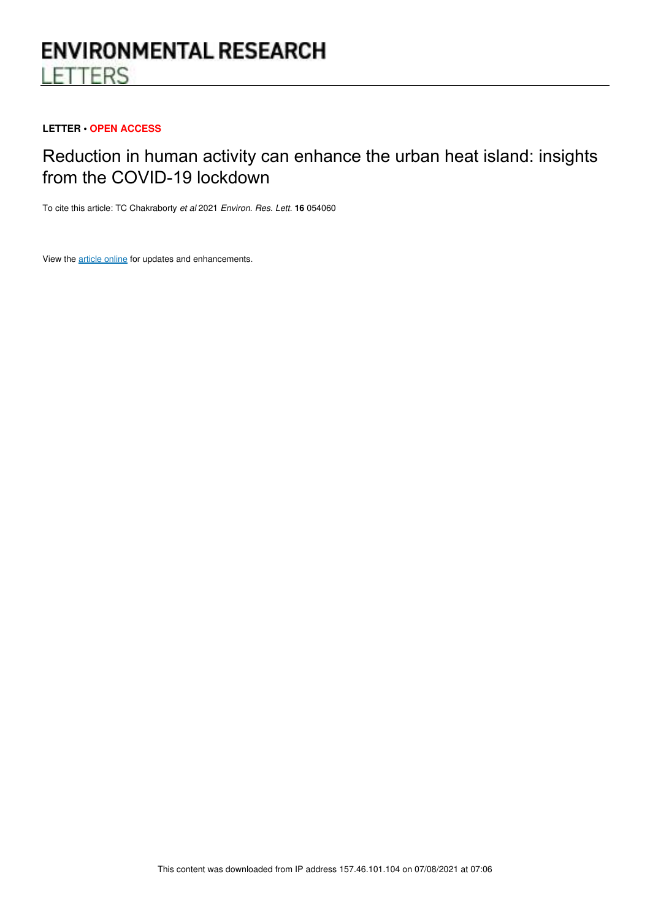# **ENVIRONMENTAL RESEARCH LETTERS**

## **LETTER • OPEN ACCESS**

## Reduction in human activity can enhance the urban heat island: insights from the COVID-19 lockdown

To cite this article: TC Chakraborty et al 2021 Environ. Res. Lett. **16** 054060

View the article online for updates and enhancements.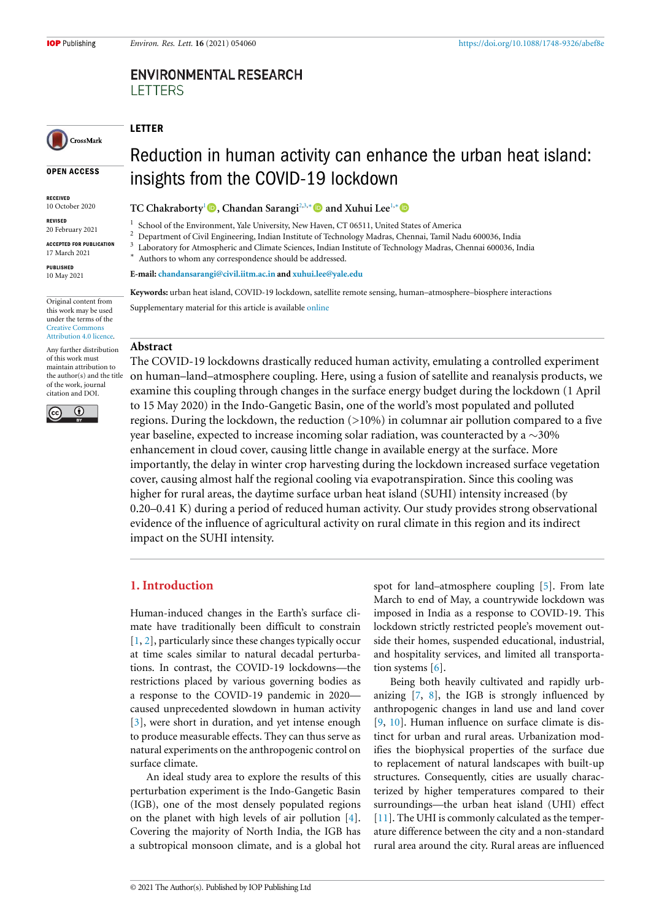## **ENVIRONMENTAL RESEARCH LETTERS**

## LETTER

## Reduction in human activity can enhance the urban heat island: insights from the COVID-19 lockdown

RECEIVED 10 October 2020

OPEN ACCESS

CrossMark

REVISED 20 February 2021

ACCEPTED FOR PUBLICATION 17 March 2021

PUBLISHED 10 May 2021

Original content from

this work may be used under the terms of the Creative Commons Attribution 4.0 licence.

Any further distribution of this work must maintain attribution to the author(s) and the title of the work, journal citation and DOI.



TC Chakraborty<sup>1</sup> **D**, Chandan Sarangi<sup>2,3,∗</sup> **D** and Xuhui Lee<sup>1,∗</sup> **D** 

1 School of the Environment, Yale University, New Haven, CT 06511, United States of America

<sup>2</sup> Department of Civil Engineering, Indian Institute of Technology Madras, Chennai, Tamil Nadu 600036, India

3 Laboratory for Atmospheric and Climate Sciences, Indian Institute of Technology Madras, Chennai 600036, India ∗

Authors to whom any correspondence should be addressed.

**E-mail: chandansarangi@civil.iitm.ac.in and xuhui.lee@yale.edu**

**Keywords:** urban heat island, COVID-19 lockdown, satellite remote sensing, human–atmosphere–biosphere interactions Supplementary material for this article is available online

#### **Abstract**

The COVID-19 lockdowns drastically reduced human activity, emulating a controlled experiment on human–land–atmosphere coupling. Here, using a fusion of satellite and reanalysis products, we examine this coupling through changes in the surface energy budget during the lockdown (1 April to 15 May 2020) in the Indo-Gangetic Basin, one of the world's most populated and polluted regions. During the lockdown, the reduction  $(>10%)$  in columnar air pollution compared to a five year baseline, expected to increase incoming solar radiation, was counteracted by a  $\sim$ 30% enhancement in cloud cover, causing little change in available energy at the surface. More importantly, the delay in winter crop harvesting during the lockdown increased surface vegetation cover, causing almost half the regional cooling via evapotranspiration. Since this cooling was higher for rural areas, the daytime surface urban heat island (SUHI) intensity increased (by 0.20–0.41 K) during a period of reduced human activity. Our study provides strong observational evidence of the influence of agricultural activity on rural climate in this region and its indirect impact on the SUHI intensity.

## **1. Introduction**

Human-induced changes in the Earth's surface climate have traditionally been difficult to constrain [1, 2], particularly since these changes typically occur at time scales similar to natural decadal perturbations. In contrast, the COVID-19 lockdowns—the restrictions placed by various governing bodies as a response to the COVID-19 pandemic in 2020 caused unprecedented slowdown in human activity [3], were short in duration, and yet intense enough to produce measurable effects. They can thus serve as natural experiments on the anthropogenic control on surface climate.

An ideal study area to explore the results of this perturbation experiment is the Indo-Gangetic Basin (IGB), one of the most densely populated regions on the planet with high levels of air pollution [4]. Covering the majority of North India, the IGB has a subtropical monsoon climate, and is a global hot spot for land–atmosphere coupling [5]. From late March to end of May, a countrywide lockdown was imposed in India as a response to COVID-19. This lockdown strictly restricted people's movement outside their homes, suspended educational, industrial, and hospitality services, and limited all transportation systems [6].

Being both heavily cultivated and rapidly urbanizing [7, 8], the IGB is strongly influenced by anthropogenic changes in land use and land cover [9, 10]. Human influence on surface climate is distinct for urban and rural areas. Urbanization modifies the biophysical properties of the surface due to replacement of natural landscapes with built-up structures. Consequently, cities are usually characterized by higher temperatures compared to their surroundings—the urban heat island (UHI) effect [11]. The UHI is commonly calculated as the temperature difference between the city and a non-standard rural area around the city. Rural areas are influenced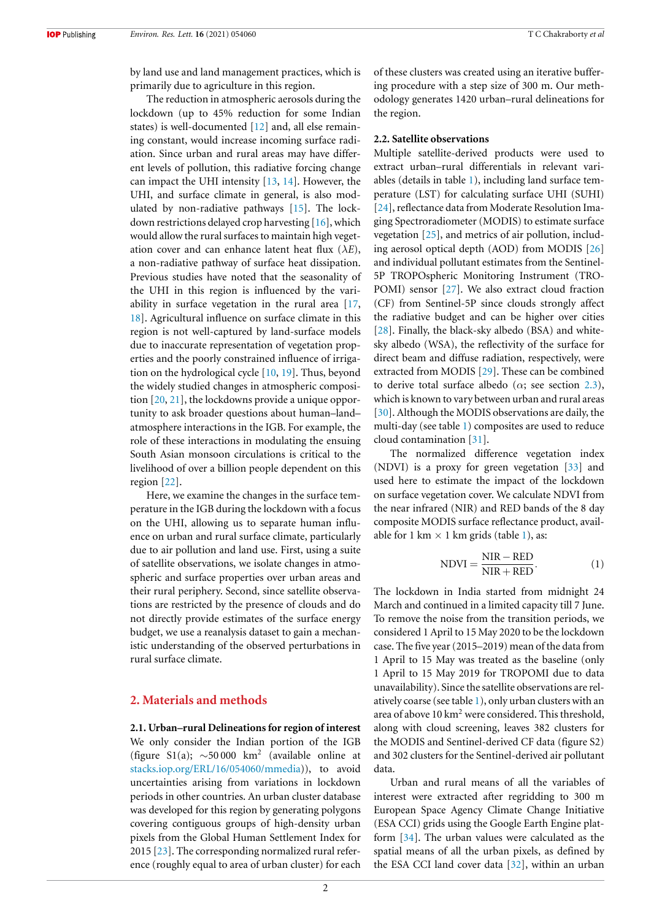by land use and land management practices, which is primarily due to agriculture in this region.

The reduction in atmospheric aerosols during the lockdown (up to 45% reduction for some Indian states) is well-documented [12] and, all else remaining constant, would increase incoming surface radiation. Since urban and rural areas may have different levels of pollution, this radiative forcing change can impact the UHI intensity [13, 14]. However, the UHI, and surface climate in general, is also modulated by non-radiative pathways [15]. The lockdown restrictions delayed crop harvesting [16], which would allow the rural surfaces to maintain high vegetation cover and can enhance latent heat flux  $(\lambda E)$ , a non-radiative pathway of surface heat dissipation. Previous studies have noted that the seasonality of the UHI in this region is influenced by the variability in surface vegetation in the rural area [17, 18]. Agricultural influence on surface climate in this region is not well-captured by land-surface models due to inaccurate representation of vegetation properties and the poorly constrained influence of irrigation on the hydrological cycle [10, 19]. Thus, beyond the widely studied changes in atmospheric composition [20, 21], the lockdowns provide a unique opportunity to ask broader questions about human–land– atmosphere interactions in the IGB. For example, the role of these interactions in modulating the ensuing South Asian monsoon circulations is critical to the livelihood of over a billion people dependent on this region [22].

Here, we examine the changes in the surface temperature in the IGB during the lockdown with a focus on the UHI, allowing us to separate human influence on urban and rural surface climate, particularly due to air pollution and land use. First, using a suite of satellite observations, we isolate changes in atmospheric and surface properties over urban areas and their rural periphery. Second, since satellite observations are restricted by the presence of clouds and do not directly provide estimates of the surface energy budget, we use a reanalysis dataset to gain a mechanistic understanding of the observed perturbations in rural surface climate.

## **2. Materials and methods**

**2.1. Urban–rural Delineations for region of interest** We only consider the Indian portion of the IGB (figure S1(a);  $\sim$  50 000 km<sup>2</sup> (available online at stacks.iop.org/ERL/16/054060/mmedia)), to avoid uncertainties arising from variations in lockdown periods in other countries. An urban cluster database was developed for this region by generating polygons covering contiguous groups of high-density urban pixels from the Global Human Settlement Index for 2015 [23]. The corresponding normalized rural reference (roughly equal to area of urban cluster) for each

of these clusters was created using an iterative buffering procedure with a step size of 300 m. Our methodology generates 1420 urban–rural delineations for the region.

#### **2.2. Satellite observations**

Multiple satellite-derived products were used to extract urban–rural differentials in relevant variables (details in table 1), including land surface temperature (LST) for calculating surface UHI (SUHI) [24], reflectance data from Moderate Resolution Imaging Spectroradiometer (MODIS) to estimate surface vegetation [25], and metrics of air pollution, including aerosol optical depth (AOD) from MODIS [26] and individual pollutant estimates from the Sentinel-5P TROPOspheric Monitoring Instrument (TRO-POMI) sensor [27]. We also extract cloud fraction (CF) from Sentinel-5P since clouds strongly affect the radiative budget and can be higher over cities [28]. Finally, the black-sky albedo (BSA) and whitesky albedo (WSA), the reflectivity of the surface for direct beam and diffuse radiation, respectively, were extracted from MODIS [29]. These can be combined to derive total surface albedo ( $\alpha$ ; see section 2.3), which is known to vary between urban and rural areas [30]. Although the MODIS observations are daily, the multi-day (see table 1) composites are used to reduce cloud contamination [31].

The normalized difference vegetation index (NDVI) is a proxy for green vegetation [33] and used here to estimate the impact of the lockdown on surface vegetation cover. We calculate NDVI from the near infrared (NIR) and RED bands of the 8 day composite MODIS surface reflectance product, available for 1 km  $\times$  1 km grids (table 1), as:

$$
NDVI = \frac{NIR - RED}{NIR + RED}.
$$
 (1)

The lockdown in India started from midnight 24 March and continued in a limited capacity till 7 June. To remove the noise from the transition periods, we considered 1 April to 15 May 2020 to be the lockdown case. The five year (2015–2019) mean of the data from 1 April to 15 May was treated as the baseline (only 1 April to 15 May 2019 for TROPOMI due to data unavailability). Since the satellite observations are relatively coarse (see table 1), only urban clusters with an area of above  $10 \text{ km}^2$  were considered. This threshold, along with cloud screening, leaves 382 clusters for the MODIS and Sentinel-derived CF data (figure S2) and 302 clusters for the Sentinel-derived air pollutant data.

Urban and rural means of all the variables of interest were extracted after regridding to 300 m European Space Agency Climate Change Initiative (ESA CCI) grids using the Google Earth Engine platform [34]. The urban values were calculated as the spatial means of all the urban pixels, as defined by the ESA CCI land cover data [32], within an urban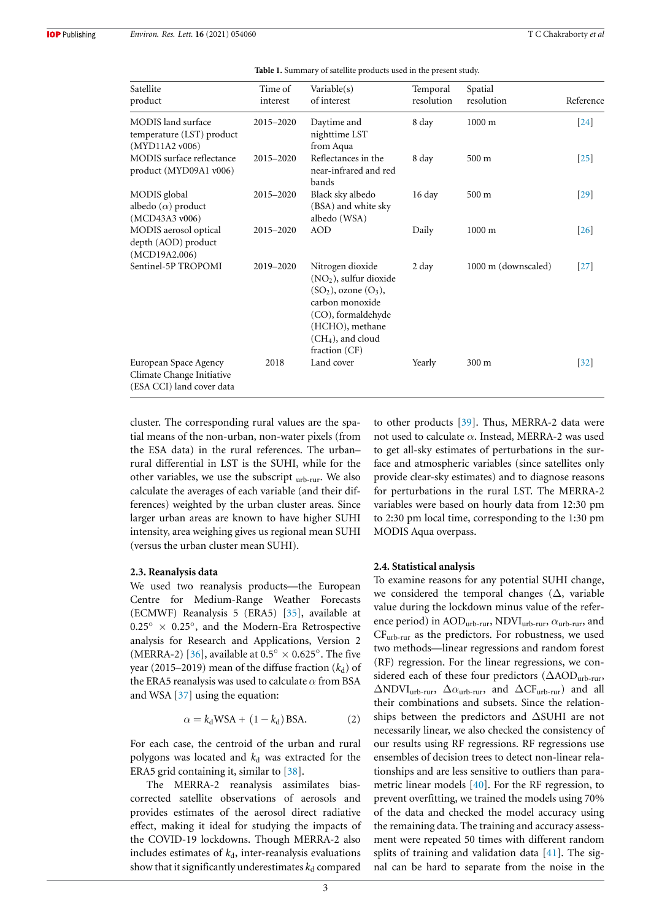| Satellite<br>product                                                            | Time of<br>interest | Variable(s)<br>of interest                                                                                                                                                               | Temporal<br>resolution | Spatial<br>resolution | Reference         |
|---------------------------------------------------------------------------------|---------------------|------------------------------------------------------------------------------------------------------------------------------------------------------------------------------------------|------------------------|-----------------------|-------------------|
| MODIS land surface<br>temperature (LST) product                                 | 2015-2020           | Daytime and<br>nighttime LST                                                                                                                                                             | 8 day                  | $1000 \text{ m}$      | $[24]$            |
| (MYD11A2v006)<br><b>MODIS</b> surface reflectance<br>product (MYD09A1 v006)     | 2015-2020           | from Aqua<br>Reflectances in the<br>near-infrared and red<br>bands                                                                                                                       | 8 day                  | $500 \text{ m}$       | $\left[25\right]$ |
| MODIS global<br>albedo $(\alpha)$ product<br>(MCD43A3 v006)                     | 2015-2020           | Black sky albedo<br>(BSA) and white sky<br>albedo (WSA)                                                                                                                                  | 16 day                 | 500 m                 | $[29]$            |
| MODIS aerosol optical<br>depth (AOD) product<br>(MCD19A2.006)                   | 2015-2020           | <b>AOD</b>                                                                                                                                                                               | Daily                  | $1000 \text{ m}$      | $[26]$            |
| Sentinel-5P TROPOMI                                                             | 2019-2020           | Nitrogen dioxide<br>$(NO2)$ , sulfur dioxide<br>$(SO2)$ , ozone $(O3)$ ,<br>carbon monoxide<br>(CO), formaldehyde<br>(HCHO), methane<br>(CH <sub>4</sub> ), and cloud<br>fraction $(CF)$ | 2 day                  | 1000 m (downscaled)   | $[27]$            |
| European Space Agency<br>Climate Change Initiative<br>(ESA CCI) land cover data | 2018                | Land cover                                                                                                                                                                               | Yearly                 | 300 m                 | $[32]$            |

**Table 1.** Summary of satellite products used in the present study.

cluster. The corresponding rural values are the spatial means of the non-urban, non-water pixels (from the ESA data) in the rural references. The urban– rural differential in LST is the SUHI, while for the other variables, we use the subscript  $_{\text{urb-rur}}$ . We also calculate the averages of each variable (and their differences) weighted by the urban cluster areas. Since larger urban areas are known to have higher SUHI intensity, area weighing gives us regional mean SUHI (versus the urban cluster mean SUHI).

#### **2.3. Reanalysis data**

We used two reanalysis products—the European Centre for Medium-Range Weather Forecasts (ECMWF) Reanalysis 5 (ERA5) [35], available at  $0.25^\circ \times 0.25^\circ$ , and the Modern-Era Retrospective analysis for Research and Applications, Version 2 (MERRA-2) [36], available at  $0.5^\circ \times 0.625^\circ$ . The five year (2015–2019) mean of the diffuse fraction  $(k_d)$  of the ERA5 reanalysis was used to calculate  $\alpha$  from BSA and WSA [37] using the equation:

$$
\alpha = k_d \text{WSA} + (1 - k_d) \text{BSA}.\tag{2}
$$

For each case, the centroid of the urban and rural polygons was located and  $k_d$  was extracted for the ERA5 grid containing it, similar to [38].

The MERRA-2 reanalysis assimilates biascorrected satellite observations of aerosols and provides estimates of the aerosol direct radiative effect, making it ideal for studying the impacts of the COVID-19 lockdowns. Though MERRA-2 also includes estimates of  $k_d$ , inter-reanalysis evaluations show that it significantly underestimates  $k_d$  compared

to other products [39]. Thus, MERRA-2 data were not used to calculate  $\alpha$ . Instead, MERRA-2 was used to get all-sky estimates of perturbations in the surface and atmospheric variables (since satellites only provide clear-sky estimates) and to diagnose reasons for perturbations in the rural LST. The MERRA-2 variables were based on hourly data from 12:30 pm to 2:30 pm local time, corresponding to the 1:30 pm MODIS Aqua overpass.

#### **2.4. Statistical analysis**

To examine reasons for any potential SUHI change, we considered the temporal changes  $(\Delta)$ , variable value during the lockdown minus value of the reference period) in  $\text{AOD}_{\text{urb-rur}}, \text{NDVI}_{\text{urb-rur}}, \alpha_{\text{urb-rur}},$  and CFurb-rur as the predictors. For robustness, we used two methods—linear regressions and random forest (RF) regression. For the linear regressions, we considered each of these four predictors (∆AODurb-rur,  $\Delta \text{NDVI}_{\text{urb-rur}}, \ \Delta \alpha_{\text{urb-rur}}, \ \text{and} \ \Delta \text{CF}_{\text{urb-rur}}$  and all their combinations and subsets. Since the relationships between the predictors and ∆SUHI are not necessarily linear, we also checked the consistency of our results using RF regressions. RF regressions use ensembles of decision trees to detect non-linear relationships and are less sensitive to outliers than parametric linear models [40]. For the RF regression, to prevent overfitting, we trained the models using 70% of the data and checked the model accuracy using the remaining data. The training and accuracy assessment were repeated 50 times with different random splits of training and validation data [41]. The signal can be hard to separate from the noise in the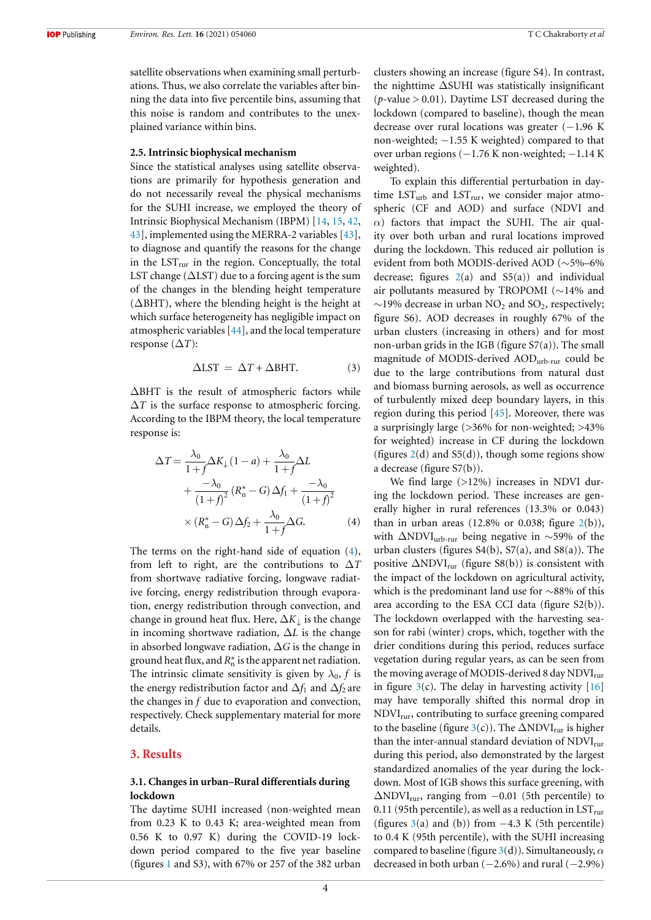**IOP** Publishing

satellite observations when examining small perturbations. Thus, we also correlate the variables after binning the data into five percentile bins, assuming that this noise is random and contributes to the unexplained variance within bins.

#### **2.5. Intrinsic biophysical mechanism**

Since the statistical analyses using satellite observations are primarily for hypothesis generation and do not necessarily reveal the physical mechanisms for the SUHI increase, we employed the theory of Intrinsic Biophysical Mechanism (IBPM) [14, 15, 42, 43], implemented using the MERRA-2 variables [43], to diagnose and quantify the reasons for the change in the  $LST<sub>rur</sub>$  in the region. Conceptually, the total LST change ( $\Delta$ LST) due to a forcing agent is the sum of the changes in the blending height temperature (∆BHT), where the blending height is the height at which surface heterogeneity has negligible impact on atmospheric variables [44], and the local temperature response  $(\Delta T)$ :

$$
\Delta \text{LST} = \Delta T + \Delta \text{BHT}.
$$
 (3)

∆BHT is the result of atmospheric factors while  $\Delta T$  is the surface response to atmospheric forcing. According to the IBPM theory, the local temperature response is:

$$
\Delta T = \frac{\lambda_0}{1+f} \Delta K_{\downarrow} (1-a) + \frac{\lambda_0}{1+f} \Delta L
$$
  
+ 
$$
\frac{-\lambda_0}{(1+f)^2} (R_n^* - G) \Delta f_1 + \frac{-\lambda_0}{(1+f)^2}
$$
  

$$
\times (R_n^* - G) \Delta f_2 + \frac{\lambda_0}{1+f} \Delta G.
$$
 (4)

The terms on the right-hand side of equation (4), from left to right, are the contributions to ∆*T* from shortwave radiative forcing, longwave radiative forcing, energy redistribution through evaporation, energy redistribution through convection, and change in ground heat flux. Here, ∆*K*<sup>↓</sup> is the change in incoming shortwave radiation, ∆*L* is the change in absorbed longwave radiation, ∆*G* is the change in ground heat flux, and  $R_n^*$  is the apparent net radiation. The intrinsic climate sensitivity is given by  $\lambda_0$ , f is the energy redistribution factor and  $\Delta f_1$  and  $\Delta f_2$  are the changes in *f* due to evaporation and convection, respectively. Check supplementary material for more details.

## **3. Results**

#### **3.1. Changes in urban–Rural differentials during lockdown**

The daytime SUHI increased (non-weighted mean from 0.23 K to 0.43 K; area-weighted mean from 0.56 K to 0.97 K) during the COVID-19 lockdown period compared to the five year baseline (figures 1 and S3), with 67% or 257 of the 382 urban

clusters showing an increase (figure S4). In contrast, the nighttime ∆SUHI was statistically insignificant ( $p$ -value  $> 0.01$ ). Daytime LST decreased during the lockdown (compared to baseline), though the mean decrease over rural locations was greater (−1.96 K non-weighted; −1.55 K weighted) compared to that over urban regions (−1.76 K non-weighted; −1.14 K weighted).

To explain this differential perturbation in daytime  $LST_{urb}$  and  $LST_{rur}$ , we consider major atmospheric (CF and AOD) and surface (NDVI and  $\alpha$ ) factors that impact the SUHI. The air quality over both urban and rural locations improved during the lockdown. This reduced air pollution is evident from both MODIS-derived AOD (∼5%–6% decrease; figures  $2(a)$  and  $55(a)$  and individual air pollutants measured by TROPOMI (∼14% and  $\sim$ 19% decrease in urban NO<sub>2</sub> and SO<sub>2</sub>, respectively; figure S6). AOD decreases in roughly 67% of the urban clusters (increasing in others) and for most non-urban grids in the IGB (figure S7(a)). The small magnitude of MODIS-derived AODurb-rur could be due to the large contributions from natural dust and biomass burning aerosols, as well as occurrence of turbulently mixed deep boundary layers, in this region during this period [45]. Moreover, there was a surprisingly large (*>*36% for non-weighted; >43% for weighted) increase in CF during the lockdown (figures  $2(d)$  and  $55(d)$ ), though some regions show a decrease (figure S7(b)).

We find large (>12%) increases in NDVI during the lockdown period. These increases are generally higher in rural references (13.3% or 0.043) than in urban areas  $(12.8\% \text{ or } 0.038; \text{ figure } 2(b)),$ with ∆NDVI<sub>urb-rur</sub> being negative in ~59% of the urban clusters (figures  $S4(b)$ ,  $S7(a)$ , and  $S8(a)$ ). The positive  $\Delta \text{NDVI}_{\text{rur}}$  (figure S8(b)) is consistent with the impact of the lockdown on agricultural activity, which is the predominant land use for ∼88% of this area according to the ESA CCI data (figure S2(b)). The lockdown overlapped with the harvesting season for rabi (winter) crops, which, together with the drier conditions during this period, reduces surface vegetation during regular years, as can be seen from the moving average of MODIS-derived 8 day NDVI<sub>rur</sub> in figure  $3(c)$ . The delay in harvesting activity [16] may have temporally shifted this normal drop in  $NDVI<sub>rur</sub>$ , contributing to surface greening compared to the baseline (figure 3(c)). The  $\Delta \text{NDVI}_{\text{rur}}$  is higher than the inter-annual standard deviation of  $NDVI<sub>rur</sub>$ during this period, also demonstrated by the largest standardized anomalies of the year during the lockdown. Most of IGB shows this surface greening, with  $\Delta \text{NDVI}_{\text{rur}}$ , ranging from  $-0.01$  (5th percentile) to 0.11 (95th percentile), as well as a reduction in  $\mathrm{LST}_{\text{rur}}$ (figures  $3(a)$  and (b)) from  $-4.3$  K (5th percentile) to 0.4 K (95th percentile), with the SUHI increasing compared to baseline (figure 3(d)). Simultaneously,  $\alpha$ decreased in both urban  $(-2.6\%)$  and rural  $(-2.9\%)$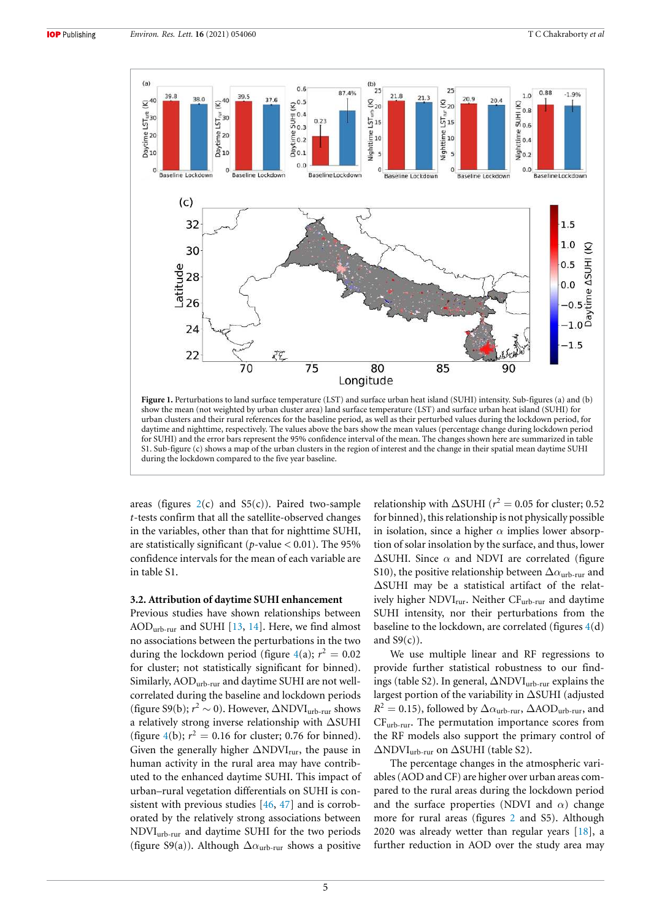

**Figure 1.** Perturbations to land surface temperature (LST) and surface urban heat island (SUHI) intensity. Sub-figures (a) and (b) show the mean (not weighted by urban cluster area) land surface temperature (LST) and surface urban heat island (SUHI) for urban clusters and their rural references for the baseline period, as well as their perturbed values during the lockdown period, for daytime and nighttime, respectively. The values above the bars show the mean values (percentage change during lockdown period for SUHI) and the error bars represent the 95% confidence interval of the mean. The changes shown here are summarized in table S1. Sub-figure (c) shows a map of the urban clusters in the region of interest and the change in their spatial mean daytime SUHI during the lockdown compared to the five year baseline.

areas (figures  $2(c)$  and  $55(c)$ ). Paired two-sample *t*-tests confirm that all the satellite-observed changes in the variables, other than that for nighttime SUHI, are statistically significant (*p*-value *<* 0.01). The 95% confidence intervals for the mean of each variable are in table S1.

#### **3.2. Attribution of daytime SUHI enhancement**

Previous studies have shown relationships between AODurb-rur and SUHI [13, 14]. Here, we find almost no associations between the perturbations in the two during the lockdown period (figure  $4(a)$ ;  $r^2 = 0.02$ for cluster; not statistically significant for binned). Similarly, AODurb-rur and daytime SUHI are not wellcorrelated during the baseline and lockdown periods (figure S9(b);  $r^2 \sim 0$ ). However,  $\Delta \text{NDVI}_{\text{urb-rur}}$  shows a relatively strong inverse relationship with ∆SUHI (figure 4(b);  $r^2 = 0.16$  for cluster; 0.76 for binned). Given the generally higher  $\Delta NDVI_{\text{rur}}$ , the pause in human activity in the rural area may have contributed to the enhanced daytime SUHI. This impact of urban–rural vegetation differentials on SUHI is consistent with previous studies [46, 47] and is corroborated by the relatively strong associations between NDVIurb-rur and daytime SUHI for the two periods (figure S9(a)). Although  $\Delta \alpha_{\text{urb-rur}}$  shows a positive

relationship with  $\Delta$ SUHI ( $r^2 = 0.05$  for cluster; 0.52 for binned), this relationship is not physically possible in isolation, since a higher  $\alpha$  implies lower absorption of solar insolation by the surface, and thus, lower  $\Delta$ SUHI. Since  $\alpha$  and NDVI are correlated (figure S10), the positive relationship between  $\Delta \alpha_{\rm{urb-rur}}$  and ∆SUHI may be a statistical artifact of the relatively higher NDVI<sub>rur</sub>. Neither CF<sub>urb-rur</sub> and daytime SUHI intensity, nor their perturbations from the baseline to the lockdown, are correlated (figures 4(d) and  $S9(c)$ ).

We use multiple linear and RF regressions to provide further statistical robustness to our findings (table S2). In general, ∆NDVIurb-rur explains the largest portion of the variability in ∆SUHI (adjusted  $R^2 = 0.15$ ), followed by  $\Delta \alpha$ <sub>urb-rur</sub>,  $\Delta \text{AOD}_{\text{urb-rur}}$ , and CFurb-rur. The permutation importance scores from the RF models also support the primary control of ∆NDVIurb-rur on ∆SUHI (table S2).

The percentage changes in the atmospheric variables (AOD and CF) are higher over urban areas compared to the rural areas during the lockdown period and the surface properties (NDVI and  $\alpha$ ) change more for rural areas (figures 2 and S5). Although 2020 was already wetter than regular years [18], a further reduction in AOD over the study area may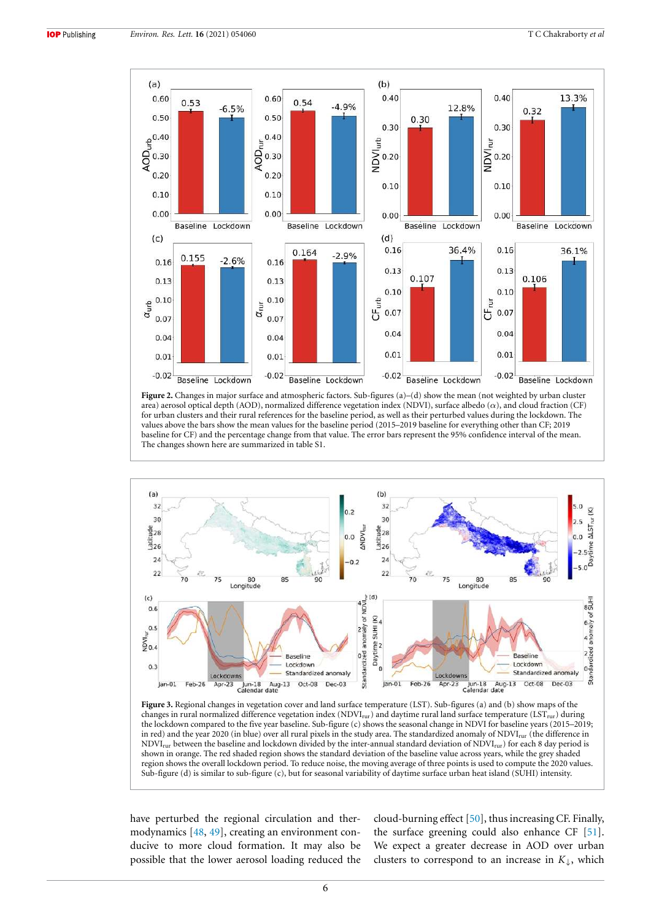

**Figure 2.** Changes in major surface and atmospheric factors. Sub-figures (a)–(d) show the mean (not weighted by urban cluster area) aerosol optical depth (AOD), normalized difference vegetation index (NDVI), surface albedo  $(\alpha)$ , and cloud fraction (CF) for urban clusters and their rural references for the baseline period, as well as their perturbed values during the lockdown. The values above the bars show the mean values for the baseline period (2015–2019 baseline for everything other than CF; 2019 baseline for CF) and the percentage change from that value. The error bars represent the 95% confidence interval of the mean. The changes shown here are summarized in table S1.



**Figure 3.** Regional changes in vegetation cover and land surface temperature (LST). Sub-figures (a) and (b) show maps of the changes in rural normalized difference vegetation index ( $NDVI<sub>rur</sub>$ ) and daytime rural land surface temperature ( $LST<sub>rur</sub>$ ) during the lockdown compared to the five year baseline. Sub-figure (c) shows the seasonal change in NDVI for baseline years (2015–2019; in red) and the year 2020 (in blue) over all rural pixels in the study area. The standardized anomaly of NDVI<sub>rur</sub> (the difference in NDVI<sub>rur</sub> between the baseline and lockdown divided by the inter-annual standard deviation of NDVI<sub>rur</sub>) for each 8 day period is shown in orange. The red shaded region shows the standard deviation of the baseline value across years, while the grey shaded region shows the overall lockdown period. To reduce noise, the moving average of three points is used to compute the 2020 values. Sub-figure (d) is similar to sub-figure (c), but for seasonal variability of daytime surface urban heat island (SUHI) intensity.

have perturbed the regional circulation and thermodynamics [48, 49], creating an environment conducive to more cloud formation. It may also be possible that the lower aerosol loading reduced the cloud-burning effect [50], thus increasing CF. Finally, the surface greening could also enhance CF [51]. We expect a greater decrease in AOD over urban clusters to correspond to an increase in  $K_{\downarrow}$ , which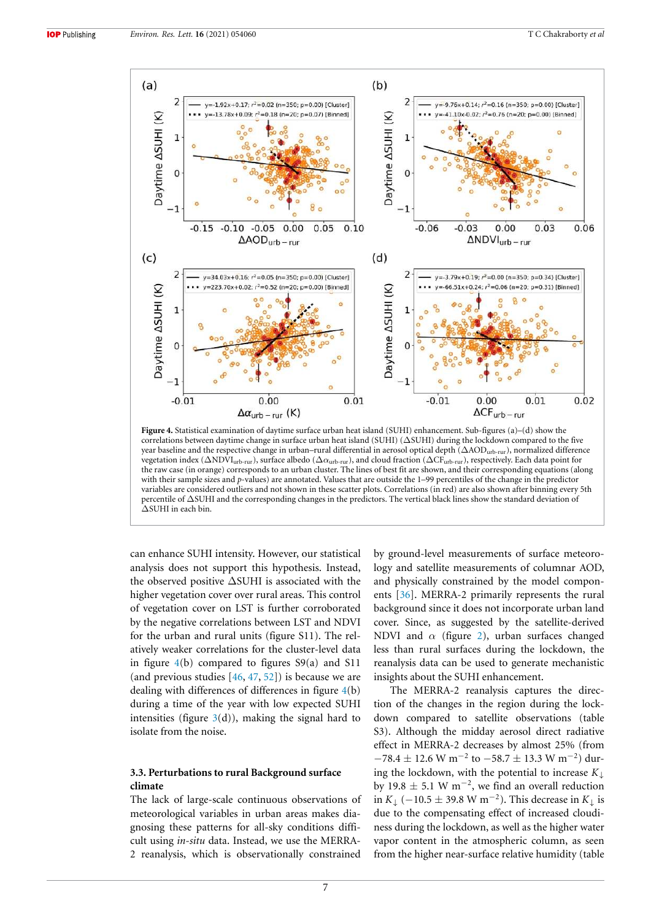

correlations between daytime change in surface urban heat island (SUHI) (∆SUHI) during the lockdown compared to the five year baseline and the respective change in urban–rural differential in aerosol optical depth (∆AODurb-rur), normalized difference vegetation index ( $\Delta NDVI_{urb-rur}$ ), surface albedo ( $\Delta \alpha_{urb-rur}$ ), and cloud fraction ( $\Delta CF_{urb-rur}$ ), respectively. Each data point for the raw case (in orange) corresponds to an urban cluster. The lines of best fit are shown, and their corresponding equations (along with their sample sizes and *p*-values) are annotated. Values that are outside the 1–99 percentiles of the change in the predictor variables are considered outliers and not shown in these scatter plots. Correlations (in red) are also shown after binning every 5th percentile of ∆SUHI and the corresponding changes in the predictors. The vertical black lines show the standard deviation of ∆SUHI in each bin.

can enhance SUHI intensity. However, our statistical analysis does not support this hypothesis. Instead, the observed positive ∆SUHI is associated with the higher vegetation cover over rural areas. This control of vegetation cover on LST is further corroborated by the negative correlations between LST and NDVI for the urban and rural units (figure S11). The relatively weaker correlations for the cluster-level data in figure  $4(b)$  compared to figures  $S9(a)$  and S11 (and previous studies  $[46, 47, 52]$ ) is because we are dealing with differences of differences in figure 4(b) during a time of the year with low expected SUHI intensities (figure  $3(d)$ ), making the signal hard to isolate from the noise.

### **3.3. Perturbations to rural Background surface climate**

The lack of large-scale continuous observations of meteorological variables in urban areas makes diagnosing these patterns for all-sky conditions difficult using *in-situ* data. Instead, we use the MERRA-2 reanalysis, which is observationally constrained

by ground-level measurements of surface meteorology and satellite measurements of columnar AOD, and physically constrained by the model components [36]. MERRA-2 primarily represents the rural background since it does not incorporate urban land cover. Since, as suggested by the satellite-derived NDVI and  $\alpha$  (figure 2), urban surfaces changed less than rural surfaces during the lockdown, the reanalysis data can be used to generate mechanistic insights about the SUHI enhancement.

The MERRA-2 reanalysis captures the direction of the changes in the region during the lockdown compared to satellite observations (table S3). Although the midday aerosol direct radiative effect in MERRA-2 decreases by almost 25% (from  $-78.4\pm12.6$  W m $^{-2}$  to  $-58.7\pm13.3$  W m $^{-2})$  during the lockdown, with the potential to increase *K*<sup>↓</sup> by 19.8  $\pm$  5.1 W m<sup>-2</sup>, we find an overall reduction in *K*<sub>↓</sub> (−10.5 ± 39.8 W m<sup>-2</sup>). This decrease in *K*<sub>↓</sub> is due to the compensating effect of increased cloudiness during the lockdown, as well as the higher water vapor content in the atmospheric column, as seen from the higher near-surface relative humidity (table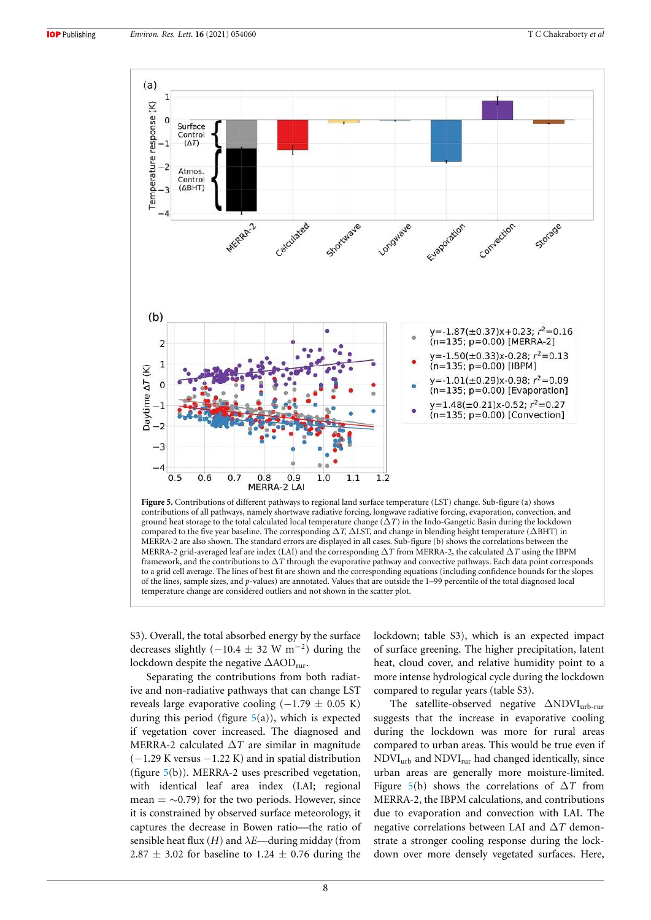

ground heat storage to the total calculated local temperature change (∆*T*) in the Indo-Gangetic Basin during the lockdown compared to the five year baseline. The corresponding ∆*T,* ∆LST, and change in blending height temperature (∆BHT) in MERRA-2 are also shown. The standard errors are displayed in all cases. Sub-figure (b) shows the correlations between the MERRA-2 grid-averaged leaf are index (LAI) and the corresponding ∆*T* from MERRA-2, the calculated ∆*T* using the IBPM framework, and the contributions to ∆*T* through the evaporative pathway and convective pathways. Each data point corresponds to a grid cell average. The lines of best fit are shown and the corresponding equations (including confidence bounds for the slopes of the lines, sample sizes, and *p*-values) are annotated. Values that are outside the 1–99 percentile of the total diagnosed local temperature change are considered outliers and not shown in the scatter plot.

S3). Overall, the total absorbed energy by the surface decreases slightly  $(-10.4 \pm 32 \text{ W m}^{-2})$  during the lockdown despite the negative ∆AOD<sub>rur</sub>.

Separating the contributions from both radiative and non-radiative pathways that can change LST reveals large evaporative cooling  $(-1.79 \pm 0.05 \text{ K})$ during this period (figure  $5(a)$ ), which is expected if vegetation cover increased. The diagnosed and MERRA-2 calculated ∆*T* are similar in magnitude (−1.29 K versus −1.22 K) and in spatial distribution (figure 5(b)). MERRA-2 uses prescribed vegetation, with identical leaf area index (LAI; regional mean =  $\sim$ 0.79) for the two periods. However, since it is constrained by observed surface meteorology, it captures the decrease in Bowen ratio—the ratio of sensible heat flux  $(H)$  and  $\lambda E$ —during midday (from 2.87  $\pm$  3.02 for baseline to 1.24  $\pm$  0.76 during the lockdown; table S3), which is an expected impact of surface greening. The higher precipitation, latent heat, cloud cover, and relative humidity point to a more intense hydrological cycle during the lockdown compared to regular years (table S3).

The satellite-observed negative ∆NDVI<sub>urb-rur</sub> suggests that the increase in evaporative cooling during the lockdown was more for rural areas compared to urban areas. This would be true even if NDVIurb and NDVIrur had changed identically, since urban areas are generally more moisture-limited. Figure 5(b) shows the correlations of ∆*T* from MERRA-2, the IBPM calculations, and contributions due to evaporation and convection with LAI. The negative correlations between LAI and ∆*T* demonstrate a stronger cooling response during the lockdown over more densely vegetated surfaces. Here,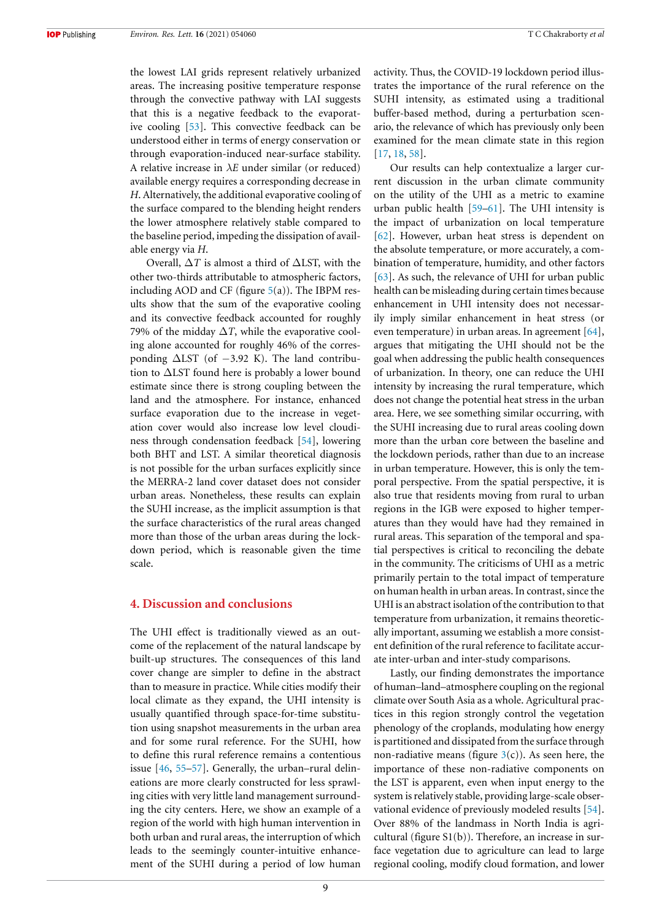the lowest LAI grids represent relatively urbanized areas. The increasing positive temperature response through the convective pathway with LAI suggests that this is a negative feedback to the evaporative cooling [53]. This convective feedback can be understood either in terms of energy conservation or through evaporation-induced near-surface stability. A relative increase in  $\lambda E$  under similar (or reduced) available energy requires a corresponding decrease in *H*. Alternatively, the additional evaporative cooling of the surface compared to the blending height renders the lower atmosphere relatively stable compared to the baseline period, impeding the dissipation of available energy via *H*.

Overall, ∆*T* is almost a third of ∆LST, with the other two-thirds attributable to atmospheric factors, including AOD and CF (figure  $5(a)$ ). The IBPM results show that the sum of the evaporative cooling and its convective feedback accounted for roughly 79% of the midday  $\Delta T$ , while the evaporative cooling alone accounted for roughly 46% of the corresponding  $\Delta$ LST (of  $-3.92$  K). The land contribution to ∆LST found here is probably a lower bound estimate since there is strong coupling between the land and the atmosphere. For instance, enhanced surface evaporation due to the increase in vegetation cover would also increase low level cloudiness through condensation feedback [54], lowering both BHT and LST. A similar theoretical diagnosis is not possible for the urban surfaces explicitly since the MERRA-2 land cover dataset does not consider urban areas. Nonetheless, these results can explain the SUHI increase, as the implicit assumption is that the surface characteristics of the rural areas changed more than those of the urban areas during the lockdown period, which is reasonable given the time scale.

#### **4. Discussion and conclusions**

The UHI effect is traditionally viewed as an outcome of the replacement of the natural landscape by built-up structures. The consequences of this land cover change are simpler to define in the abstract than to measure in practice. While cities modify their local climate as they expand, the UHI intensity is usually quantified through space-for-time substitution using snapshot measurements in the urban area and for some rural reference. For the SUHI, how to define this rural reference remains a contentious issue [46, 55–57]. Generally, the urban–rural delineations are more clearly constructed for less sprawling cities with very little land management surrounding the city centers. Here, we show an example of a region of the world with high human intervention in both urban and rural areas, the interruption of which leads to the seemingly counter-intuitive enhancement of the SUHI during a period of low human

activity. Thus, the COVID-19 lockdown period illustrates the importance of the rural reference on the SUHI intensity, as estimated using a traditional buffer-based method, during a perturbation scenario, the relevance of which has previously only been examined for the mean climate state in this region [17, 18, 58].

Our results can help contextualize a larger current discussion in the urban climate community on the utility of the UHI as a metric to examine urban public health [59–61]. The UHI intensity is the impact of urbanization on local temperature [62]. However, urban heat stress is dependent on the absolute temperature, or more accurately, a combination of temperature, humidity, and other factors [63]. As such, the relevance of UHI for urban public health can be misleading during certain times because enhancement in UHI intensity does not necessarily imply similar enhancement in heat stress (or even temperature) in urban areas. In agreement [64], argues that mitigating the UHI should not be the goal when addressing the public health consequences of urbanization. In theory, one can reduce the UHI intensity by increasing the rural temperature, which does not change the potential heat stress in the urban area. Here, we see something similar occurring, with the SUHI increasing due to rural areas cooling down more than the urban core between the baseline and the lockdown periods, rather than due to an increase in urban temperature. However, this is only the temporal perspective. From the spatial perspective, it is also true that residents moving from rural to urban regions in the IGB were exposed to higher temperatures than they would have had they remained in rural areas. This separation of the temporal and spatial perspectives is critical to reconciling the debate in the community. The criticisms of UHI as a metric primarily pertain to the total impact of temperature on human health in urban areas. In contrast, since the UHI is an abstract isolation of the contribution to that temperature from urbanization, it remains theoretically important, assuming we establish a more consistent definition of the rural reference to facilitate accurate inter-urban and inter-study comparisons.

Lastly, our finding demonstrates the importance of human–land–atmosphere coupling on the regional climate over South Asia as a whole. Agricultural practices in this region strongly control the vegetation phenology of the croplands, modulating how energy is partitioned and dissipated from the surface through non-radiative means (figure  $3(c)$ ). As seen here, the importance of these non-radiative components on the LST is apparent, even when input energy to the system is relatively stable, providing large-scale observational evidence of previously modeled results [54]. Over 88% of the landmass in North India is agricultural (figure S1(b)). Therefore, an increase in surface vegetation due to agriculture can lead to large regional cooling, modify cloud formation, and lower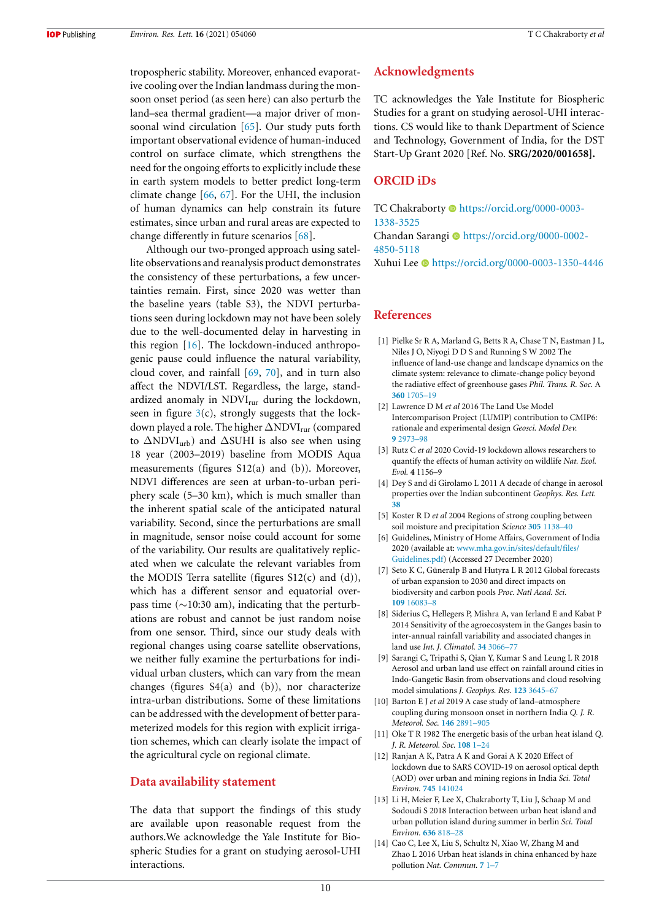tropospheric stability. Moreover, enhanced evaporative cooling over the Indian landmass during the monsoon onset period (as seen here) can also perturb the land–sea thermal gradient—a major driver of monsoonal wind circulation [65]. Our study puts forth important observational evidence of human-induced control on surface climate, which strengthens the need for the ongoing efforts to explicitly include these in earth system models to better predict long-term climate change [66, 67]. For the UHI, the inclusion of human dynamics can help constrain its future estimates, since urban and rural areas are expected to change differently in future scenarios [68].

Although our two-pronged approach using satellite observations and reanalysis product demonstrates the consistency of these perturbations, a few uncertainties remain. First, since 2020 was wetter than the baseline years (table S3), the NDVI perturbations seen during lockdown may not have been solely due to the well-documented delay in harvesting in this region [16]. The lockdown-induced anthropogenic pause could influence the natural variability, cloud cover, and rainfall [69, 70], and in turn also affect the NDVI/LST. Regardless, the large, standardized anomaly in NDVI<sub>rur</sub> during the lockdown, seen in figure  $3(c)$ , strongly suggests that the lockdown played a role. The higher ∆NDVI<sub>rur</sub> (compared to ∆NDVIurb) and ∆SUHI is also see when using 18 year (2003–2019) baseline from MODIS Aqua measurements (figures S12(a) and (b)). Moreover, NDVI differences are seen at urban-to-urban periphery scale (5–30 km), which is much smaller than the inherent spatial scale of the anticipated natural variability. Second, since the perturbations are small in magnitude, sensor noise could account for some of the variability. Our results are qualitatively replicated when we calculate the relevant variables from the MODIS Terra satellite (figures  $S12(c)$  and (d)), which has a different sensor and equatorial overpass time (∼10:30 am), indicating that the perturbations are robust and cannot be just random noise from one sensor. Third, since our study deals with regional changes using coarse satellite observations, we neither fully examine the perturbations for individual urban clusters, which can vary from the mean changes (figures  $S4(a)$  and (b)), nor characterize intra-urban distributions. Some of these limitations can be addressed with the development of better parameterized models for this region with explicit irrigation schemes, which can clearly isolate the impact of the agricultural cycle on regional climate.

## **Data availability statement**

The data that support the findings of this study are available upon reasonable request from the authors.We acknowledge the Yale Institute for Biospheric Studies for a grant on studying aerosol-UHI interactions.

#### **Acknowledgments**

TC acknowledges the Yale Institute for Biospheric Studies for a grant on studying aerosol-UHI interactions. CS would like to thank Department of Science and Technology, Government of India, for the DST Start-Up Grant 2020 [Ref. No. **SRG/2020/001658].**

## **ORCID iDs**

TC Chakraborty  $\bullet$  https://orcid.org/0000-0003-1338-3525

Chandan Sarangi  $\bullet$  https://orcid.org/0000-0002-4850-5118

Xuhui Lee https://orcid.org/0000-0003-1350-4446

#### **References**

- [1] Pielke Sr R A, Marland G, Betts R A, Chase T N, Eastman J L, Niles J O, Niyogi D D S and Running S W 2002 The influence of land-use change and landscape dynamics on the climate system: relevance to climate-change policy beyond the radiative effect of greenhouse gases *Phil. Trans. R. Soc.* A **360** 1705–19
- [2] Lawrence D M *et al* 2016 The Land Use Model Intercomparison Project (LUMIP) contribution to CMIP6: rationale and experimental design *Geosci. Model Dev.* **9** 2973–98
- [3] Rutz C *et al* 2020 Covid-19 lockdown allows researchers to quantify the effects of human activity on wildlife *Nat. Ecol. Evol.* **4** 1156–9
- [4] Dey S and di Girolamo L 2011 A decade of change in aerosol properties over the Indian subcontinent *Geophys. Res. Lett.* **38**
- [5] Koster R D *et al* 2004 Regions of strong coupling between soil moisture and precipitation *Science* **305** 1138–40
- [6] Guidelines, Ministry of Home Affairs, Government of India 2020 (available at: www.mha.gov.in/sites/default/files/ Guidelines.pdf) (Accessed 27 December 2020)
- [7] Seto K C, Güneralp B and Hutyra L R 2012 Global forecasts of urban expansion to 2030 and direct impacts on biodiversity and carbon pools *Proc. Natl Acad. Sci.* **109** 16083–8
- [8] Siderius C, Hellegers P, Mishra A, van Ierland E and Kabat P 2014 Sensitivity of the agroecosystem in the Ganges basin to inter-annual rainfall variability and associated changes in land use *Int. J. Climatol.* **34** 3066–77
- [9] Sarangi C, Tripathi S, Qian Y, Kumar S and Leung L R 2018 Aerosol and urban land use effect on rainfall around cities in Indo-Gangetic Basin from observations and cloud resolving model simulations *J. Geophys. Res.* **123** 3645–67
- [10] Barton E J *et al* 2019 A case study of land–atmosphere coupling during monsoon onset in northern India *Q. J. R. Meteorol. Soc.* **146** 2891–905
- [11] Oke T R 1982 The energetic basis of the urban heat island *Q. J. R. Meteorol. Soc.* **108** 1–24
- [12] Ranjan A K, Patra A K and Gorai A K 2020 Effect of lockdown due to SARS COVID-19 on aerosol optical depth (AOD) over urban and mining regions in India *Sci. Total Environ.* **745** 141024
- [13] Li H, Meier F, Lee X, Chakraborty T, Liu J, Schaap M and Sodoudi S 2018 Interaction between urban heat island and urban pollution island during summer in berlin *Sci. Total Environ.* **636** 818–28
- [14] Cao C, Lee X, Liu S, Schultz N, Xiao W, Zhang M and Zhao L 2016 Urban heat islands in china enhanced by haze pollution *Nat. Commun.* **7** 1–7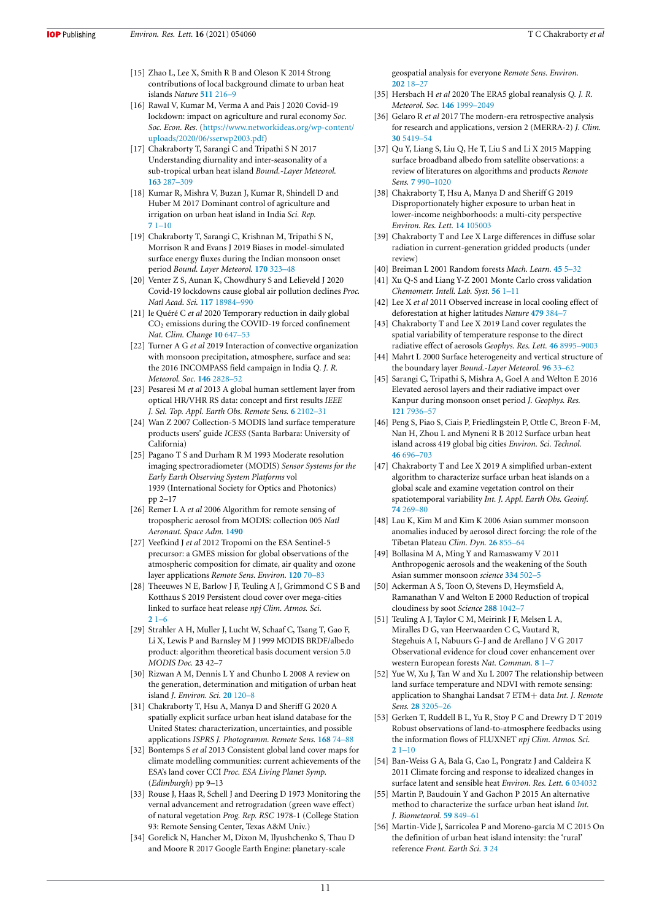- [15] Zhao L, Lee X, Smith R B and Oleson K 2014 Strong contributions of local background climate to urban heat islands *Nature* **511** 216–9
- [16] Rawal V, Kumar M, Verma A and Pais J 2020 Covid-19 lockdown: impact on agriculture and rural economy *Soc. Soc. Econ. Res.* (https://www.networkideas.org/wp-content/ uploads/2020/06/sserwp2003.pdf)
- [17] Chakraborty T, Sarangi C and Tripathi S N 2017 Understanding diurnality and inter-seasonality of a sub-tropical urban heat island *Bound.-Layer Meteorol.* **163** 287–309
- [18] Kumar R, Mishra V, Buzan J, Kumar R, Shindell D and Huber M 2017 Dominant control of agriculture and irrigation on urban heat island in India *Sci. Rep.* **7** 1–10
- [19] Chakraborty T, Sarangi C, Krishnan M, Tripathi S N, Morrison R and Evans J 2019 Biases in model-simulated surface energy fluxes during the Indian monsoon onset period *Bound. Layer Meteorol.* **170** 323–48
- [20] Venter Z S, Aunan K, Chowdhury S and Lelieveld J 2020 Covid-19 lockdowns cause global air pollution declines *Proc. Natl Acad. Sci.* **117** 18984–990
- [21] le Quéré C *et al* 2020 Temporary reduction in daily global CO<sup>2</sup> emissions during the COVID-19 forced confinement *Nat. Clim. Change* **10** 647–53
- [22] Turner A G *et al* 2019 Interaction of convective organization with monsoon precipitation, atmosphere, surface and sea: the 2016 INCOMPASS field campaign in India *Q. J. R. Meteorol. Soc.* **146** 2828–52
- [23] Pesaresi M *et al* 2013 A global human settlement layer from optical HR/VHR RS data: concept and first results *IEEE J. Sel. Top. Appl. Earth Obs. Remote Sens.* **6** 2102–31
- [24] Wan Z 2007 Collection-5 MODIS land surface temperature products users' guide *ICESS* (Santa Barbara: University of California)
- [25] Pagano T S and Durham R M 1993 Moderate resolution imaging spectroradiometer (MODIS) *Sensor Systems for the Early Earth Observing System Platforms* vol 1939 (International Society for Optics and Photonics) pp 2–17
- [26] Remer L A *et al* 2006 Algorithm for remote sensing of tropospheric aerosol from MODIS: collection 005 *Natl Aeronaut. Space Adm.* **1490**
- [27] Veefkind J *et al* 2012 Tropomi on the ESA Sentinel-5 precursor: a GMES mission for global observations of the atmospheric composition for climate, air quality and ozone layer applications *Remote Sens. Environ.* **120** 70–83
- [28] Theeuwes N E, Barlow J F, Teuling A J, Grimmond C S B and Kotthaus S 2019 Persistent cloud cover over mega-cities linked to surface heat release *npj Clim. Atmos. Sci.* **2** 1–6
- [29] Strahler A H, Muller J, Lucht W, Schaaf C, Tsang T, Gao F, Li X, Lewis P and Barnsley M J 1999 MODIS BRDF/albedo product: algorithm theoretical basis document version 5.0 *MODIS Doc.* **23** 42–7
- [30] Rizwan A M, Dennis L Y and Chunho L 2008 A review on the generation, determination and mitigation of urban heat island *J. Environ. Sci.* **20** 120–8
- [31] Chakraborty T, Hsu A, Manya D and Sheriff G 2020 A spatially explicit surface urban heat island database for the United States: characterization, uncertainties, and possible applications *ISPRS J. Photogramm. Remote Sens.* **168** 74–88
- [32] Bontemps S *et al* 2013 Consistent global land cover maps for climate modelling communities: current achievements of the ESA's land cover CCI *Proc. ESA Living Planet Symp.* (*Edimburgh*) pp 9–13
- [33] Rouse J, Haas R, Schell J and Deering D 1973 Monitoring the vernal advancement and retrogradation (green wave effect) of natural vegetation *Prog. Rep. RSC* 1978-1 (College Station 93: Remote Sensing Center, Texas A&M Univ.)
- [34] Gorelick N, Hancher M, Dixon M, Ilyushchenko S, Thau D and Moore R 2017 Google Earth Engine: planetary-scale

geospatial analysis for everyone *Remote Sens. Environ.* **202** 18–27

- [35] Hersbach H *et al* 2020 The ERA5 global reanalysis *Q. J. R. Meteorol. Soc.* **146** 1999–2049
- [36] Gelaro R *et al* 2017 The modern-era retrospective analysis for research and applications, version 2 (MERRA-2) *J. Clim.* **30** 5419–54
- [37] Qu Y, Liang S, Liu Q, He T, Liu S and Li X 2015 Mapping surface broadband albedo from satellite observations: a review of literatures on algorithms and products *Remote Sens.* **7** 990–1020
- [38] Chakraborty T, Hsu A, Manya D and Sheriff G 2019 Disproportionately higher exposure to urban heat in lower-income neighborhoods: a multi-city perspective *Environ. Res. Lett.* **14** 105003
- [39] Chakraborty T and Lee X Large differences in diffuse solar radiation in current-generation gridded products (under review)
- [40] Breiman L 2001 Random forests *Mach. Learn.* **45** 5–32
- [41] Xu Q-S and Liang Y-Z 2001 Monte Carlo cross validation *Chemometr. Intell. Lab. Syst.* **56** 1–11
- [42] Lee X *et al* 2011 Observed increase in local cooling effect of deforestation at higher latitudes *Nature* **479** 384–7
- [43] Chakraborty T and Lee X 2019 Land cover regulates the spatial variability of temperature response to the direct radiative effect of aerosols *Geophys. Res. Lett.* **46** 8995–9003
- [44] Mahrt L 2000 Surface heterogeneity and vertical structure of the boundary layer *Bound.-Layer Meteorol.* **96** 33–62
- [45] Sarangi C, Tripathi S, Mishra A, Goel A and Welton E 2016 Elevated aerosol layers and their radiative impact over Kanpur during monsoon onset period *J. Geophys. Res.* **121** 7936–57
- [46] Peng S, Piao S, Ciais P, Friedlingstein P, Ottle C, Breon F-M, Nan H, Zhou L and Myneni R B 2012 Surface urban heat island across 419 global big cities *Environ. Sci. Technol.* **46** 696–703
- [47] Chakraborty T and Lee X 2019 A simplified urban-extent algorithm to characterize surface urban heat islands on a global scale and examine vegetation control on their spatiotemporal variability *Int. J. Appl. Earth Obs. Geoinf.* **74** 269–80
- [48] Lau K, Kim M and Kim K 2006 Asian summer monsoon anomalies induced by aerosol direct forcing: the role of the Tibetan Plateau *Clim. Dyn.* **26** 855–64
- [49] Bollasina M A, Ming Y and Ramaswamy V 2011 Anthropogenic aerosols and the weakening of the South Asian summer monsoon *science* **334** 502–5
- [50] Ackerman A S, Toon O, Stevens D, Heymsfield A, Ramanathan V and Welton E 2000 Reduction of tropical cloudiness by soot *Science* **288** 1042–7
- [51] Teuling A J, Taylor C M, Meirink J F, Melsen L A, Miralles D G, van Heerwaarden C C, Vautard R, Stegehuis A I, Nabuurs G-J and de Arellano J V G 2017 Observational evidence for cloud cover enhancement over western European forests *Nat. Commun.* **8** 1–7
- [52] Yue W, Xu J, Tan W and Xu L 2007 The relationship between land surface temperature and NDVI with remote sensing: application to Shanghai Landsat 7 ETM+ data *Int. J. Remote Sens.* **28** 3205–26
- [53] Gerken T, Ruddell B L, Yu R, Stoy P C and Drewry D T 2019 Robust observations of land-to-atmosphere feedbacks using the information flows of FLUXNET *npj Clim. Atmos. Sci.* **2** 1–10
- [54] Ban-Weiss G A, Bala G, Cao L, Pongratz J and Caldeira K 2011 Climate forcing and response to idealized changes in surface latent and sensible heat *Environ. Res. Lett.* **6** 034032
- [55] Martin P, Baudouin Y and Gachon P 2015 An alternative method to characterize the surface urban heat island *Int. J. Biometeorol.* **59** 849–61
- [56] Martin-Vide J, Sarricolea P and Moreno-garcía M C 2015 On the definition of urban heat island intensity: the 'rural' reference *Front. Earth Sci.* **3** 24